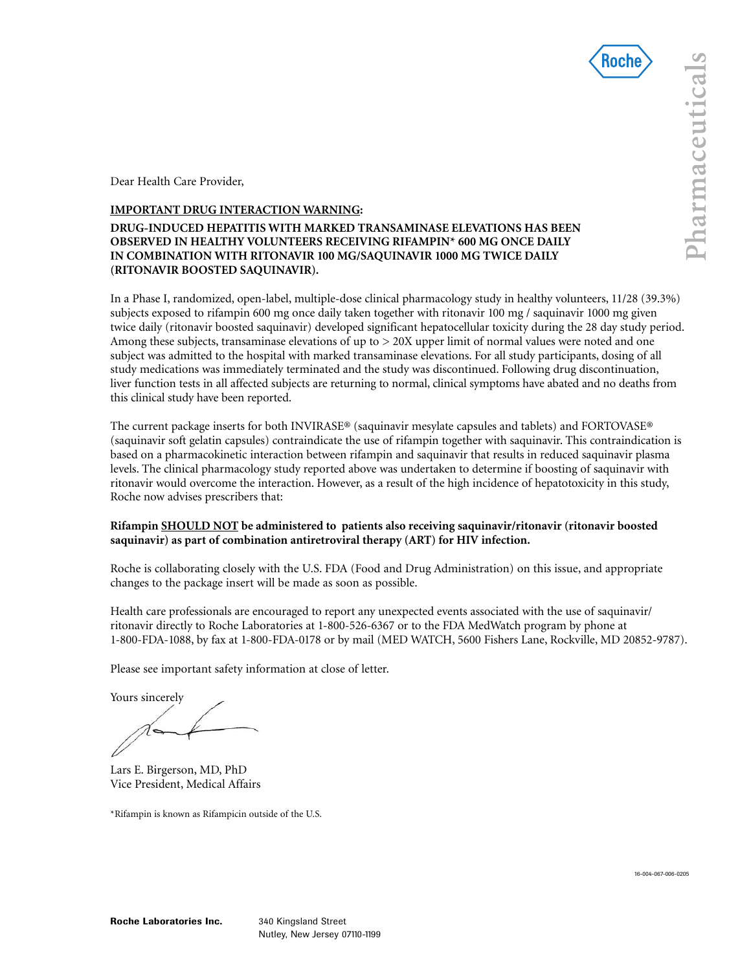

Dear Health Care Provider,

## **IMPORTANT DRUG INTERACTION WARNING:**

# **DRUG-INDUCED HEPATITIS WITH MARKED TRANSAMINASE ELEVATIONS HAS BEEN OBSERVED IN HEALTHY VOLUNTEERS RECEIVING RIFAMPIN\* 600 MG ONCE DAILY IN COMBINATION WITH RITONAVIR 100 MG/SAQUINAVIR 1000 MG TWICE DAILY (RITONAVIR BOOSTED SAQUINAVIR).**

In a Phase I, randomized, open-label, multiple-dose clinical pharmacology study in healthy volunteers, 11/28 (39.3%) subjects exposed to rifampin 600 mg once daily taken together with ritonavir 100 mg / saquinavir 1000 mg given twice daily (ritonavir boosted saquinavir) developed significant hepatocellular toxicity during the 28 day study period. Among these subjects, transaminase elevations of up to > 20X upper limit of normal values were noted and one subject was admitted to the hospital with marked transaminase elevations. For all study participants, dosing of all study medications was immediately terminated and the study was discontinued. Following drug discontinuation, liver function tests in all affected subjects are returning to normal, clinical symptoms have abated and no deaths from this clinical study have been reported.

The current package inserts for both INVIRASE® (saquinavir mesylate capsules and tablets) and FORTOVASE® (saquinavir soft gelatin capsules) contraindicate the use of rifampin together with saquinavir. This contraindication is based on a pharmacokinetic interaction between rifampin and saquinavir that results in reduced saquinavir plasma levels. The clinical pharmacology study reported above was undertaken to determine if boosting of saquinavir with ritonavir would overcome the interaction. However, as a result of the high incidence of hepatotoxicity in this study, Roche now advises prescribers that:

### **Rifampin SHOULD NOT be administered to patients also receiving saquinavir/ritonavir (ritonavir boosted saquinavir) as part of combination antiretroviral therapy (ART) for HIV infection.**

Roche is collaborating closely with the U.S. FDA (Food and Drug Administration) on this issue, and appropriate changes to the package insert will be made as soon as possible.

Health care professionals are encouraged to report any unexpected events associated with the use of saquinavir/ ritonavir directly to Roche Laboratories at 1-800-526-6367 or to the FDA MedWatch program by phone at 1-800-FDA-1088, by fax at 1-800-FDA-0178 or by mail (MED WATCH, 5600 Fishers Lane, Rockville, MD 20852-9787).

Please see important safety information at close of letter.

Yours sincerely

Lars E. Birgerson, MD, PhD Vice President, Medical Affairs

\*Rifampin is known as Rifampicin outside of the U.S.

16-004-067-006-0205